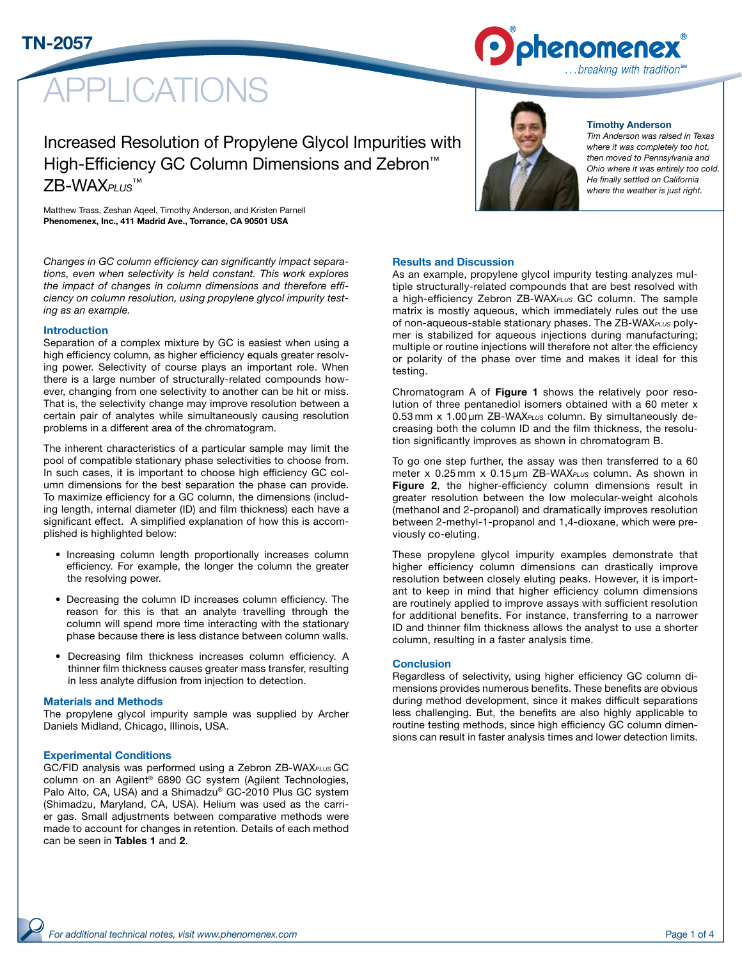

# PLICATIONS

Increased Resolution of Propylene Glycol Impurities with High-Efficiency GC Column Dimensions and Zebron™ ZB-WAX*PLUS*™

Matthew Trass, Zeshan Aqeel, Timothy Anderson, and Kristen Parnell Phenomenex, Inc., 411 Madrid Ave., Torrance, CA 90501 USA

*Changes in GC column efficiency can significantly impact separations, even when selectivity is held constant. This work explores the impact of changes in column dimensions and therefore efficiency on column resolution, using propylene glycol impurity testing as an example.*

#### Introduction

Separation of a complex mixture by GC is easiest when using a high efficiency column, as higher efficiency equals greater resolving power. Selectivity of course plays an important role. When there is a large number of structurally-related compounds however, changing from one selectivity to another can be hit or miss. That is, the selectivity change may improve resolution between a certain pair of analytes while simultaneously causing resolution problems in a different area of the chromatogram.

The inherent characteristics of a particular sample may limit the pool of compatible stationary phase selectivities to choose from. In such cases, it is important to choose high efficiency GC column dimensions for the best separation the phase can provide. To maximize efficiency for a GC column, the dimensions (including length, internal diameter (ID) and film thickness) each have a significant effect. A simplified explanation of how this is accomplished is highlighted below:

- Increasing column length proportionally increases column efficiency. For example, the longer the column the greater the resolving power.
- Decreasing the column ID increases column efficiency. The reason for this is that an analyte travelling through the column will spend more time interacting with the stationary phase because there is less distance between column walls.
- Decreasing film thickness increases column efficiency. A thinner film thickness causes greater mass transfer, resulting in less analyte diffusion from injection to detection.

#### Materials and Methods

The propylene glycol impurity sample was supplied by Archer Daniels Midland, Chicago, Illinois, USA.

#### Experimental Conditions

GC/FID analysis was performed using a Zebron ZB-WAX*PLUS* GC column on an Agilent® 6890 GC system (Agilent Technologies, Palo Alto, CA, USA) and a Shimadzu® GC-2010 Plus GC system (Shimadzu, Maryland, CA, USA). Helium was used as the carrier gas. Small adjustments between comparative methods were made to account for changes in retention. Details of each method can be seen in Tables 1 and 2.



#### Timothy Anderson

*Tim Anderson was raised in Texas where it was completely too hot, then moved to Pennsylvania and Ohio where it was entirely too cold. He finally settled on California where the weather is just right.*

#### Results and Discussion

As an example, propylene glycol impurity testing analyzes multiple structurally-related compounds that are best resolved with a high-efficiency Zebron ZB-WAX*PLUS* GC column. The sample matrix is mostly aqueous, which immediately rules out the use of non-aqueous-stable stationary phases. The ZB-WAX*PLUS* polymer is stabilized for aqueous injections during manufacturing; multiple or routine injections will therefore not alter the efficiency or polarity of the phase over time and makes it ideal for this testing.

Chromatogram A of Figure 1 shows the relatively poor resolution of three pentanediol isomers obtained with a 60 meter x 0.53 mm x 1.00 µm ZB-WAX*PLUS* column. By simultaneously decreasing both the column ID and the film thickness, the resolution significantly improves as shown in chromatogram B.

To go one step further, the assay was then transferred to a 60 meter x 0.25 mm x 0.15 µm ZB-WAX*PLUS* column. As shown in Figure 2, the higher-efficiency column dimensions result in greater resolution between the low molecular-weight alcohols (methanol and 2-propanol) and dramatically improves resolution between 2-methyl-1-propanol and 1,4-dioxane, which were previously co-eluting.

These propylene glycol impurity examples demonstrate that higher efficiency column dimensions can drastically improve resolution between closely eluting peaks. However, it is important to keep in mind that higher efficiency column dimensions are routinely applied to improve assays with sufficient resolution for additional benefits. For instance, transferring to a narrower ID and thinner film thickness allows the analyst to use a shorter column, resulting in a faster analysis time.

#### **Conclusion**

Regardless of selectivity, using higher efficiency GC column dimensions provides numerous benefits. These benefits are obvious during method development, since it makes difficult separations less challenging. But, the benefits are also highly applicable to routine testing methods, since high efficiency GC column dimensions can result in faster analysis times and lower detection limits.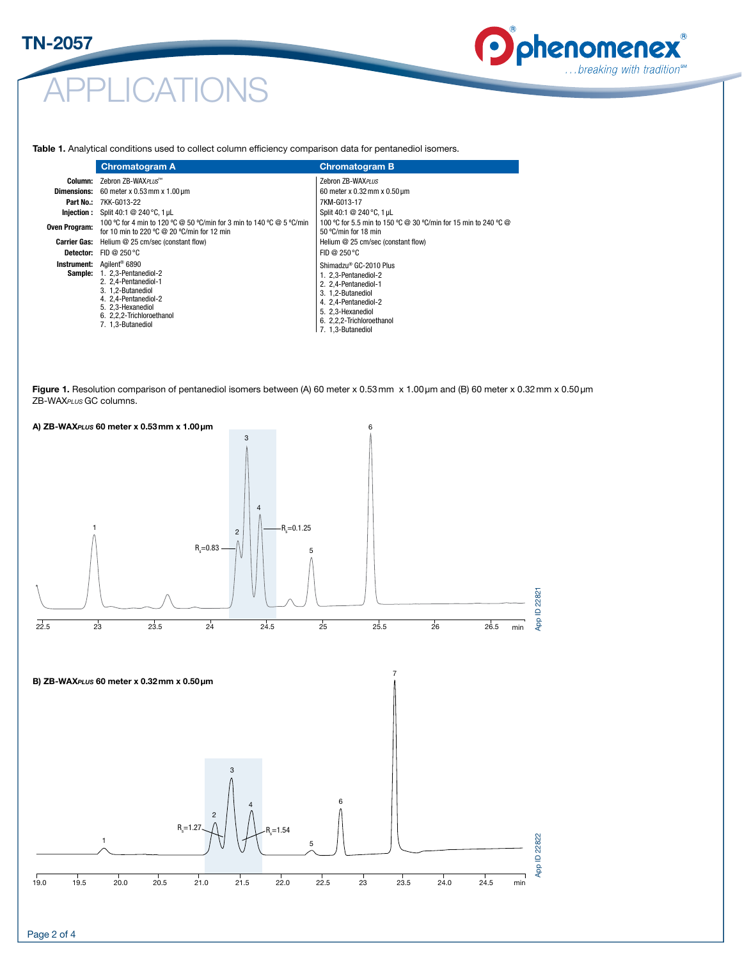### TN-2057

# APPLICATIONS

## phenomenex … breaking with tradition<sup>™</sup>

Table 1. Analytical conditions used to collect column efficiency comparison data for pentanediol isomers.

|                      | <b>Chromatogram A</b>                                                                                                                                                           | <b>Chromatogram B</b>                                                                                                                                            |  |  |
|----------------------|---------------------------------------------------------------------------------------------------------------------------------------------------------------------------------|------------------------------------------------------------------------------------------------------------------------------------------------------------------|--|--|
|                      | <b>Column:</b> Zebron ZB-WAX <i>PLUS</i> ™                                                                                                                                      | Zebron ZB-WAXPLUS                                                                                                                                                |  |  |
| <b>Dimensions:</b>   | 60 meter x 0.53 mm x $1.00 \,\mu$ m                                                                                                                                             | 60 meter x $0.32$ mm x $0.50$ µm                                                                                                                                 |  |  |
|                      | <b>Part No.: 7KK-G013-22</b>                                                                                                                                                    | 7KM-G013-17                                                                                                                                                      |  |  |
|                      | <b>Injection:</b> Split 40:1 @ 240 °C, 1 µL                                                                                                                                     | Split 40:1 @ 240 °C, 1 µL                                                                                                                                        |  |  |
| <b>Oven Program:</b> | 100 °C for 4 min to 120 °C @ 50 °C/min for 3 min to 140 °C @ 5 °C/min<br>for 10 min to 220 $\degree$ C @ 20 $\degree$ C/min for 12 min                                          | 100 °C for 5.5 min to 150 °C @ 30 °C/min for 15 min to 240 °C @<br>50 $\degree$ C/min for 18 min                                                                 |  |  |
| <b>Carrier Gas:</b>  | Helium @ 25 cm/sec (constant flow)                                                                                                                                              | Helium @ 25 cm/sec (constant flow)                                                                                                                               |  |  |
| Detector:            | FID @ 250 $\degree$ C                                                                                                                                                           | FID @ $250^{\circ}$ C                                                                                                                                            |  |  |
| Instrument:          | Aailent® 6890                                                                                                                                                                   | Shimadzu® GC-2010 Plus                                                                                                                                           |  |  |
|                      | <b>Sample: 1. 2.3-Pentanediol-2</b><br>2. 2.4-Pentanediol-1<br>3. 1.2-Butanediol<br>4. 2.4-Pentanediol-2<br>5. 2,3-Hexanediol<br>6. 2,2,2-Trichloroethanol<br>7. 1.3-Butanediol | 1. 2.3-Pentanediol-2<br>2. 2.4-Pentanediol-1<br>3. 1.2-Butanediol<br>4. 2.4-Pentanediol-2<br>5. 2.3-Hexanediol<br>6. 2,2,2-Trichloroethanol<br>7. 1.3-Butanediol |  |  |

Figure 1. Resolution comparison of pentanediol isomers between (A) 60 meter x 0.53mm x 1.00 µm and (B) 60 meter x 0.32mm x 0.50 µm ZB-WAX<sub>PLUS</sub> GC columns.

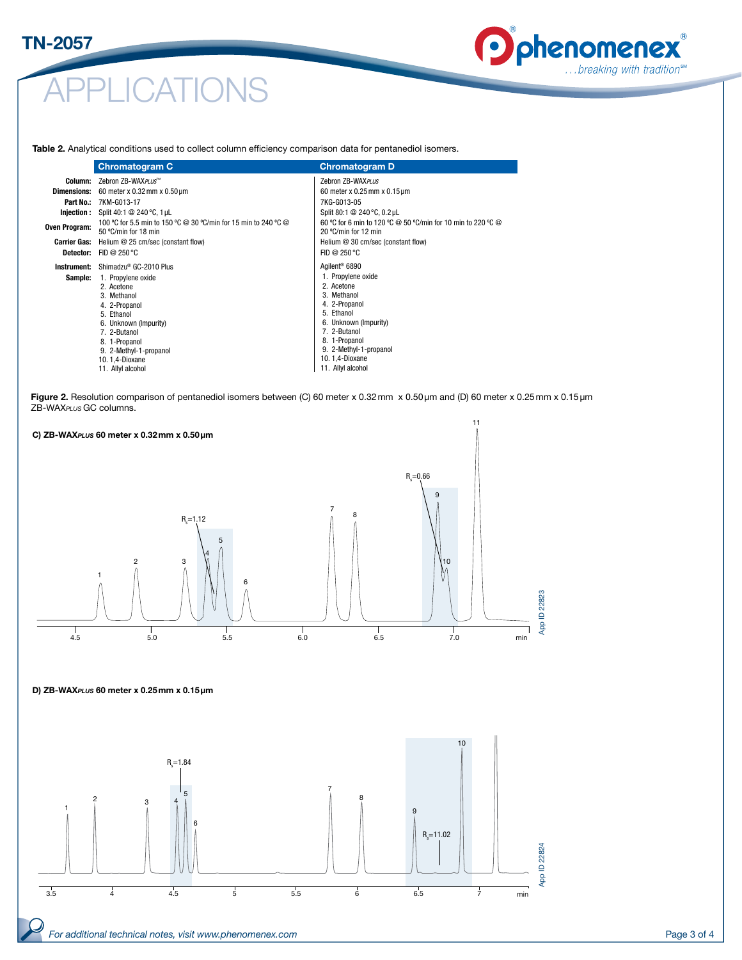# **CATIONS**

## **D** phenomenex … breaking with tradition<sup>™</sup>

Table 2. Analytical conditions used to collect column efficiency comparison data for pentanediol isomers.

|                     | <b>Chromatogram C</b>                                                                                                                                                                                     | <b>Chromatogram D</b>                                                                                                                                                                                     |
|---------------------|-----------------------------------------------------------------------------------------------------------------------------------------------------------------------------------------------------------|-----------------------------------------------------------------------------------------------------------------------------------------------------------------------------------------------------------|
| Column:             | Zebron ZB-WAXPLUS™                                                                                                                                                                                        | Zebron ZB-WAXPLUS                                                                                                                                                                                         |
| <b>Dimensions:</b>  | 60 meter x 0.32 mm x 0.50 $\mu$ m                                                                                                                                                                         | 60 meter x 0.25 mm x $0.15 \,\text{\mu m}$                                                                                                                                                                |
| Part No.:           | 7KM-G013-17<br><b>Injection:</b> Split 40:1 @ 240 °C, 1 µL                                                                                                                                                | 7KG-G013-05<br>Split 80:1 @ 240 °C, 0.2 µL                                                                                                                                                                |
| Oven Program:       | 100 °C for 5.5 min to 150 °C @ 30 °C/min for 15 min to 240 °C @<br>50 °C/min for 18 min                                                                                                                   | 60 °C for 6 min to 120 °C @ 50 °C/min for 10 min to 220 °C @<br>20 °C/min for 12 min                                                                                                                      |
| <b>Carrier Gas:</b> | Helium @ 25 cm/sec (constant flow)                                                                                                                                                                        | Helium @ 30 cm/sec (constant flow)                                                                                                                                                                        |
|                     | <b>Detector:</b> FID @ 250 $^{\circ}$ C                                                                                                                                                                   | FID @ $250^{\circ}$ C                                                                                                                                                                                     |
| Instrument:         | Shimadzu <sup>®</sup> GC-2010 Plus                                                                                                                                                                        | Agilent <sup>®</sup> 6890                                                                                                                                                                                 |
| Sample:             | 1. Propylene oxide<br>2. Acetone<br>3. Methanol<br>4. 2-Propanol<br>5. Ethanol<br>6. Unknown (Impurity)<br>7. 2-Butanol<br>8. 1-Propanol<br>9. 2-Methyl-1-propanol<br>10.1,4-Dioxane<br>11. Allyl alcohol | 1. Propylene oxide<br>2. Acetone<br>3. Methanol<br>4. 2-Propanol<br>5. Ethanol<br>6. Unknown (Impurity)<br>7. 2-Butanol<br>8. 1-Propanol<br>9. 2-Methyl-1-propanol<br>10.1,4-Dioxane<br>11. Allyl alcohol |

Figure 2. Resolution comparison of pentanediol isomers between (C) 60 meter x 0.32mm x 0.50µm and (D) 60 meter x 0.25mm x 0.15µm ZB-WAX*PLUS* GC columns. 22823



#### D) ZB-WAX*PLUS* 60 meter x 0.25mm x 0.15µm